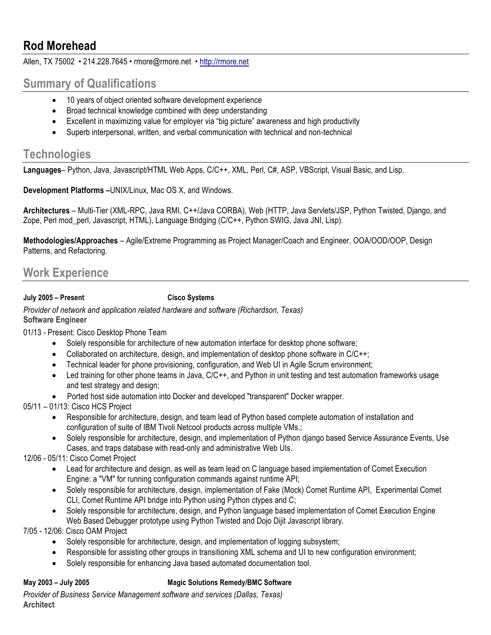# **Rod Morehead**

Allen, TX 75002 • 214.228.7645 • rmore@rmore.net • http://rmore.net

# **Summary of Qualifications**

- 10 years of object oriented software development experience
- Broad technical knowledge combined with deep understanding
- Excellent in maximizing value for employer via "big picture" awareness and high productivity
- Superb interpersonal, written, and verbal communication with technical and non-technical

# **Technologies**

**Languages**– Python, Java, Javascript/HTML Web Apps, C/C++, XML, Perl, C#, ASP, VBScript, Visual Basic, and Lisp.

**Development Platforms –**UNIX/Linux, Mac OS X, and Windows.

**Architectures** – Multi-Tier (XML-RPC, Java RMI, C++/Java CORBA), Web (HTTP, Java Servlets/JSP, Python Twisted, Django, and Zope, Perl mod\_perl, Javascript, HTML), Language Bridging (C/C++, Python SWIG, Java JNI, Lisp).

**Methodologies/Approaches** – Agile/Extreme Programming as Project Manager/Coach and Engineer, OOA/OOD/OOP, Design Patterns, and Refactoring.

# **Work Experience**

**July 2005 – Present Cisco Systems**

*Provider of network and application related hardware and software (Richardson, Texas)* **Software Engineer**

01/13 - Present: Cisco Desktop Phone Team

- Solely responsible for architecture of new automation interface for desktop phone software;
- Collaborated on architecture, design, and implementation of desktop phone software in  $C/C++$ ;
- Technical leader for phone provisioning, configuration, and Web UI in Agile Scrum environment;
- Led training for other phone teams in Java, C/C++, and Python in unit testing and test automation frameworks usage and test strategy and design;
- Ported host side automation into Docker and developed "transparent" Docker wrapper.

05/11 – 01/13: Cisco HCS Project

- Responsible for architecture, design, and team lead of Python based complete automation of installation and configuration of suite of IBM Tivoli Netcool products across multiple VMs.;
- Solely responsible for architecture, design, and implementation of Python django based Service Assurance Events, Use Cases, and traps database with read-only and administrative Web UIs.

12/06 - 05/11: Cisco Comet Project

- Lead for architecture and design, as well as team lead on C language based implementation of Comet Execution Engine: a "VM" for running configuration commands against runtime API;
- Solely responsible for architecture, design, implementation of Fake (Mock) Comet Runtime API, Experimental Comet CLI, Comet Runtime API bridge into Python using Python ctypes and C;
- Solely responsible for architecture, design, and Python language based implementation of Comet Execution Engine Web Based Debugger prototype using Python Twisted and Dojo Dijit Javascript library.

7/05 - 12/06: Cisco OAM Project

- Solely responsible for architecture, design, and implementation of logging subsystem;
- Responsible for assisting other groups in transitioning XML schema and UI to new configuration environment;
- Solely responsible for enhancing Java based automated documentation tool.

#### **May 2003 – July 2005 Magic Solutions Remedy/BMC Software**

*Provider of Business Service Management software and services (Dallas, Texas)* **Architect**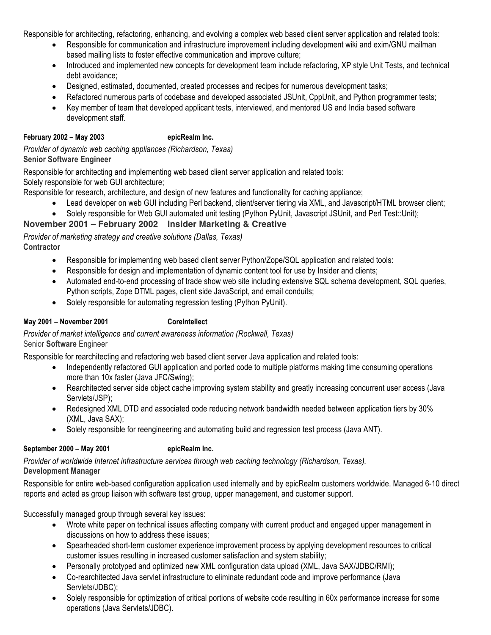Responsible for architecting, refactoring, enhancing, and evolving a complex web based client server application and related tools:

- Responsible for communication and infrastructure improvement including development wiki and exim/GNU mailman based mailing lists to foster effective communication and improve culture;
- Introduced and implemented new concepts for development team include refactoring, XP style Unit Tests, and technical debt avoidance;
- Designed, estimated, documented, created processes and recipes for numerous development tasks;
- Refactored numerous parts of codebase and developed associated JSUnit, CppUnit, and Python programmer tests;
- Key member of team that developed applicant tests, interviewed, and mentored US and India based software development staff.

## **February 2002 – May 2003 epicRealm Inc.**

*Provider of dynamic web caching appliances (Richardson, Texas)* **Senior Software Engineer**

Responsible for architecting and implementing web based client server application and related tools:

Solely responsible for web GUI architecture;

Responsible for research, architecture, and design of new features and functionality for caching appliance;

- Lead developer on web GUI including Perl backend, client/server tiering via XML, and Javascript/HTML browser client;
- Solely responsible for Web GUI automated unit testing (Python PyUnit, Javascript JSUnit, and Perl Test::Unit);

## **November 2001 – February 2002 Insider Marketing & Creative**

*Provider of marketing strategy and creative solutions (Dallas, Texas)*

**Contractor**

- Responsible for implementing web based client server Python/Zope/SQL application and related tools:
- Responsible for design and implementation of dynamic content tool for use by Insider and clients;
- Automated end-to-end processing of trade show web site including extensive SQL schema development, SQL queries, Python scripts, Zope DTML pages, client side JavaScript, and email conduits;
- Solely responsible for automating regression testing (Python PyUnit).

### **May 2001 – November 2001 CoreIntellect**

*Provider of market intelligence and current awareness information (Rockwall, Texas)* Senior **Software** Engineer

Responsible for rearchitecting and refactoring web based client server Java application and related tools:

- Independently refactored GUI application and ported code to multiple platforms making time consuming operations more than 10x faster (Java JFC/Swing);
- Rearchitected server side object cache improving system stability and greatly increasing concurrent user access (Java Servlets/JSP);
- Redesigned XML DTD and associated code reducing network bandwidth needed between application tiers by 30% (XML, Java SAX);
- Solely responsible for reengineering and automating build and regression test process (Java ANT).

#### **September 2000 – May 2001 epicRealm Inc.**

*Provider of worldwide Internet infrastructure services through web caching technology (Richardson, Texas).* **Development Manager**

Responsible for entire web-based configuration application used internally and by epicRealm customers worldwide. Managed 6-10 direct reports and acted as group liaison with software test group, upper management, and customer support.

Successfully managed group through several key issues:

- Wrote white paper on technical issues affecting company with current product and engaged upper management in discussions on how to address these issues;
- Spearheaded short-term customer experience improvement process by applying development resources to critical customer issues resulting in increased customer satisfaction and system stability;
- Personally prototyped and optimized new XML configuration data upload (XML, Java SAX/JDBC/RMI);
- Co-rearchitected Java servlet infrastructure to eliminate redundant code and improve performance (Java Servlets/JDBC);
- Solely responsible for optimization of critical portions of website code resulting in 60x performance increase for some operations (Java Servlets/JDBC).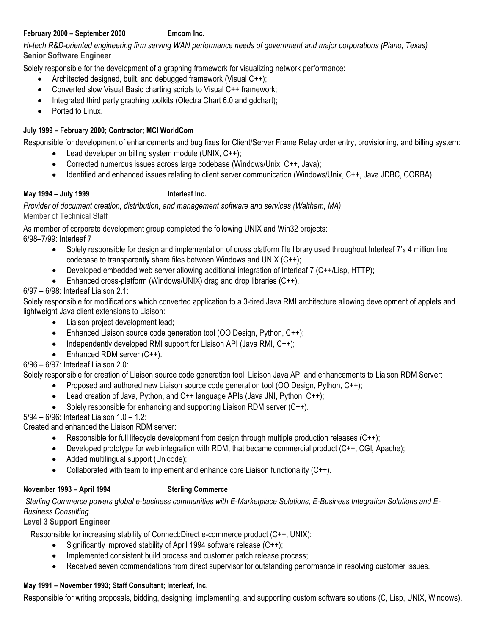#### **February 2000 – September 2000 Emcom Inc.**

*Hi-tech R&D-oriented engineering firm serving WAN performance needs of government and major corporations (Plano, Texas)* **Senior Software Engineer**

Solely responsible for the development of a graphing framework for visualizing network performance:

- Architected designed, built, and debugged framework (Visual C++);
- Converted slow Visual Basic charting scripts to Visual C++ framework;
- Integrated third party graphing toolkits (Olectra Chart 6.0 and gdchart);
- Ported to Linux.

## **July 1999 – February 2000; Contractor; MCI WorldCom**

Responsible for development of enhancements and bug fixes for Client/Server Frame Relay order entry, provisioning, and billing system:

- Lead developer on billing system module (UNIX, C++);
- Corrected numerous issues across large codebase (Windows/Unix, C++, Java);
- Identified and enhanced issues relating to client server communication (Windows/Unix, C++, Java JDBC, CORBA).

## **May 1994 – July 1999 Interleaf Inc.**

### *Provider of document creation, distribution, and management software and services (Waltham, MA)* Member of Technical Staff

As member of corporate development group completed the following UNIX and Win32 projects: 6/98–7/99: Interleaf 7

- Solely responsible for design and implementation of cross platform file library used throughout Interleaf 7's 4 million line codebase to transparently share files between Windows and UNIX (C++);
- Developed embedded web server allowing additional integration of Interleaf 7 (C++/Lisp, HTTP);
- Enhanced cross-platform (Windows/UNIX) drag and drop libraries (C++).

6/97 – 6/98: Interleaf Liaison 2.1:

Solely responsible for modifications which converted application to a 3-tired Java RMI architecture allowing development of applets and lightweight Java client extensions to Liaison:

- Liaison project development lead;
- Enhanced Liaison source code generation tool (OO Design, Python, C++);
- Independently developed RMI support for Liaison API (Java RMI, C++);
- Enhanced RDM server (C++).
- 6/96 6/97: Interleaf Liaison 2.0:

Solely responsible for creation of Liaison source code generation tool, Liaison Java API and enhancements to Liaison RDM Server:

- Proposed and authored new Liaison source code generation tool (OO Design, Python, C++);
- Lead creation of Java, Python, and C++ language APIs (Java JNI, Python, C++);
- Solely responsible for enhancing and supporting Liaison RDM server (C++).

5/94 – 6/96: Interleaf Liaison 1.0 – 1.2:

Created and enhanced the Liaison RDM server:

- Responsible for full lifecycle development from design through multiple production releases (C++);
- Developed prototype for web integration with RDM, that became commercial product (C++, CGI, Apache);
- Added multilingual support (Unicode);
- Collaborated with team to implement and enhance core Liaison functionality (C++).

## **November 1993 – April 1994 Sterling Commerce**

*Sterling Commerce powers global e-business communities with E-Marketplace Solutions, E-Business Integration Solutions and E-Business Consulting.*

## **Level 3 Support Engineer**

Responsible for increasing stability of Connect:Direct e-commerce product (C++, UNIX);

- Significantly improved stability of April 1994 software release (C++);
- Implemented consistent build process and customer patch release process;
- Received seven commendations from direct supervisor for outstanding performance in resolving customer issues.

# **May 1991 – November 1993; Staff Consultant; Interleaf, Inc.**

Responsible for writing proposals, bidding, designing, implementing, and supporting custom software solutions (C, Lisp, UNIX, Windows).